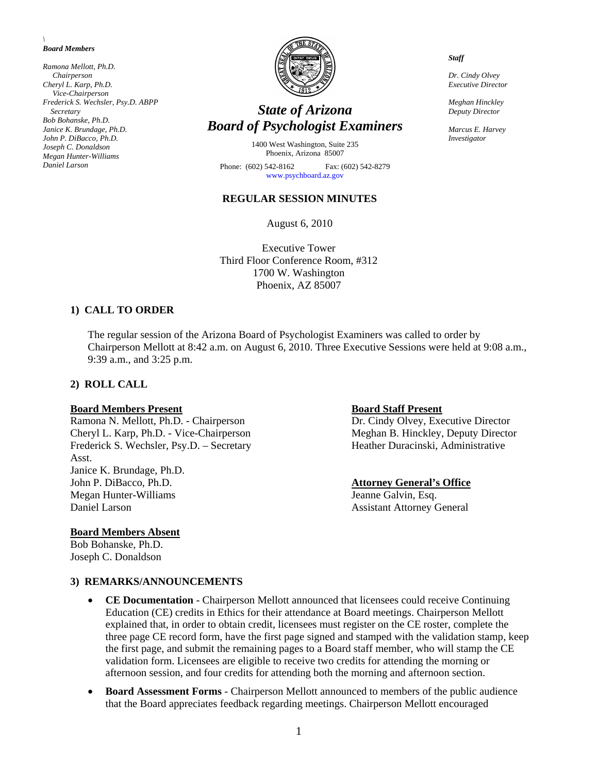*\ Board Members* 

*Ramona Mellott, Ph.D. Chairperson Cheryl L. Karp, Ph.D. Vice-Chairperson Frederick S. Wechsler, Psy.D. ABPP Secretary Bob Bohanske, Ph.D. Janice K. Brundage, Ph.D. John P. DiBacco, Ph.D. Joseph C. Donaldson Megan Hunter-Williams Daniel Larson* 



# *State of Arizona Board of Psychologist Examiners*

1400 West Washington, Suite 235 Phoenix, Arizona 85007

Phone: (602) 542-8162 Fax: (602) 542-8279 [www.psychboard.az.gov](http://www.psychboard.az.gov/)

#### **REGULAR SESSION MINUTES**

August 6, 2010

Executive Tower Third Floor Conference Room, #312 1700 W. Washington Phoenix, AZ 85007

#### **1) CALL TO ORDER**

The regular session of the Arizona Board of Psychologist Examiners was called to order by Chairperson Mellott at 8:42 a.m. on August 6, 2010. Three Executive Sessions were held at 9:08 a.m., 9:39 a.m., and 3:25 p.m.

#### **2) ROLL CALL**

#### **Board Members Present Communist Present Board Staff Present**

Cheryl L. Karp, Ph.D. - Vice-Chairperson Meghan B. Hinckley, Deputy Director Frederick S. Wechsler, Psy.D. – Secretary Heather Duracinski, Administrative Asst. Janice K. Brundage, Ph.D. John P. DiBacco, Ph.D. **Attorney General's Office** Megan Hunter-Williams Jeanne Galvin, Esq. Daniel Larson Assistant Attorney General

#### **Board Members Absent**

Bob Bohanske, Ph.D. Joseph C. Donaldson

Ramona N. Mellott, Ph.D. - Chairperson Dr. Cindy Olvey, Executive Director

**3) REMARKS/ANNOUNCEMENTS**

- **CE Documentation** Chairperson Mellott announced that licensees could receive Continuing Education (CE) credits in Ethics for their attendance at Board meetings. Chairperson Mellott explained that, in order to obtain credit, licensees must register on the CE roster, complete the three page CE record form, have the first page signed and stamped with the validation stamp, keep the first page, and submit the remaining pages to a Board staff member, who will stamp the CE validation form. Licensees are eligible to receive two credits for attending the morning or afternoon session, and four credits for attending both the morning and afternoon section.
- **Board Assessment Forms** Chairperson Mellott announced to members of the public audience that the Board appreciates feedback regarding meetings. Chairperson Mellott encouraged

*Staff* 

*Dr. Cindy Olvey Executive Director* 

*Meghan Hinckley Deputy Director* 

*Marcus E. Harvey Investigator*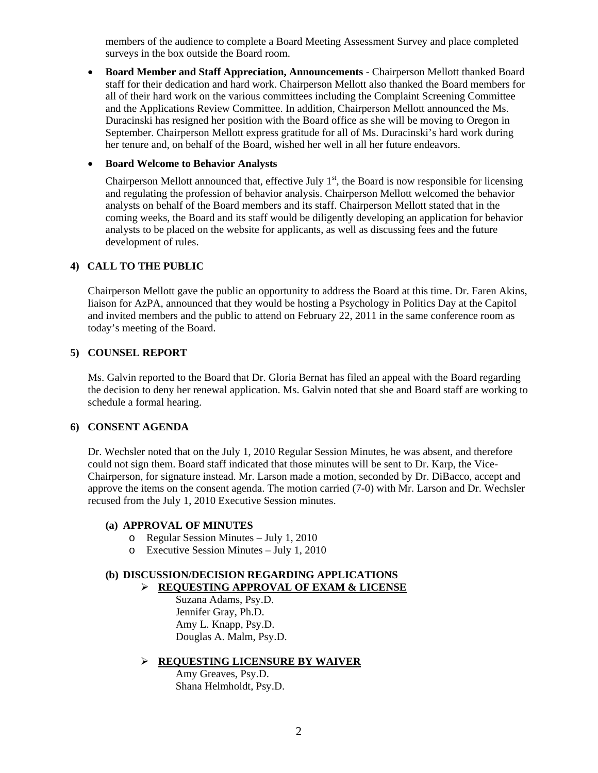members of the audience to complete a Board Meeting Assessment Survey and place completed surveys in the box outside the Board room.

 **Board Member and Staff Appreciation, Announcements** - Chairperson Mellott thanked Board staff for their dedication and hard work. Chairperson Mellott also thanked the Board members for all of their hard work on the various committees including the Complaint Screening Committee and the Applications Review Committee. In addition, Chairperson Mellott announced the Ms. Duracinski has resigned her position with the Board office as she will be moving to Oregon in September. Chairperson Mellott express gratitude for all of Ms. Duracinski's hard work during her tenure and, on behalf of the Board, wished her well in all her future endeavors.

#### **• Board Welcome to Behavior Analysts**

Chairperson Mellott announced that, effective July  $1<sup>st</sup>$ , the Board is now responsible for licensing and regulating the profession of behavior analysis. Chairperson Mellott welcomed the behavior analysts on behalf of the Board members and its staff. Chairperson Mellott stated that in the coming weeks, the Board and its staff would be diligently developing an application for behavior analysts to be placed on the website for applicants, as well as discussing fees and the future development of rules.

#### **4) CALL TO THE PUBLIC**

Chairperson Mellott gave the public an opportunity to address the Board at this time. Dr. Faren Akins, liaison for AzPA, announced that they would be hosting a Psychology in Politics Day at the Capitol and invited members and the public to attend on February 22, 2011 in the same conference room as today's meeting of the Board.

#### **5) COUNSEL REPORT**

Ms. Galvin reported to the Board that Dr. Gloria Bernat has filed an appeal with the Board regarding the decision to deny her renewal application. Ms. Galvin noted that she and Board staff are working to schedule a formal hearing.

## **6) CONSENT AGENDA**

 Dr. Wechsler noted that on the July 1, 2010 Regular Session Minutes, he was absent, and therefore could not sign them. Board staff indicated that those minutes will be sent to Dr. Karp, the Vice-Chairperson, for signature instead. Mr. Larson made a motion, seconded by Dr. DiBacco, accept and approve the items on the consent agenda. The motion carried (7-0) with Mr. Larson and Dr. Wechsler recused from the July 1, 2010 Executive Session minutes.

#### **(a) APPROVAL OF MINUTES**

- o Regular Session Minutes July 1, 2010
- o Executive Session Minutes July 1, 2010

## **(b) DISCUSSION/DECISION REGARDING APPLICATIONS**

**REQUESTING APPROVAL OF EXAM & LICENSE**

 Suzana Adams, Psy.D. Jennifer Gray, Ph.D. Amy L. Knapp, Psy.D. Douglas A. Malm, Psy.D.

#### **REQUESTING LICENSURE BY WAIVER**

 Amy Greaves, Psy.D. Shana Helmholdt, Psy.D.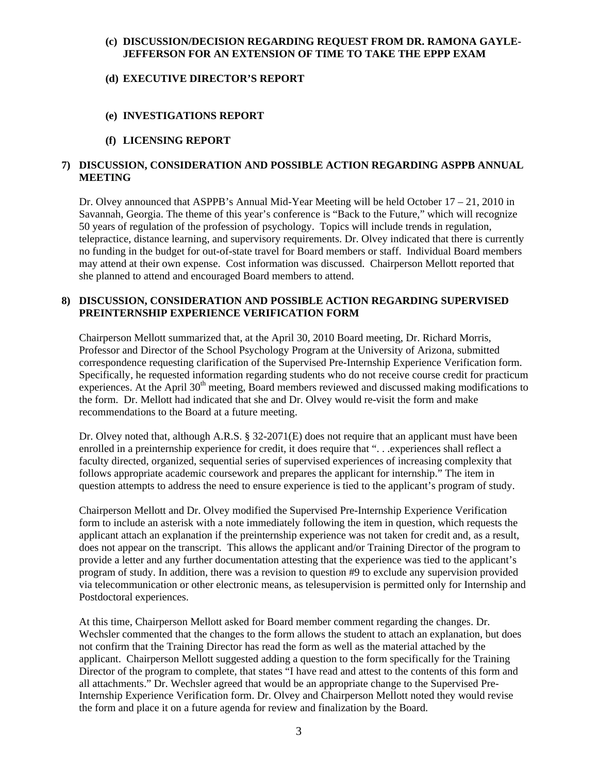## **(c) DISCUSSION/DECISION REGARDING REQUEST FROM DR. RAMONA GAYLE-JEFFERSON FOR AN EXTENSION OF TIME TO TAKE THE EPPP EXAM**

## **(d) EXECUTIVE DIRECTOR'S REPORT**

## **(e) INVESTIGATIONS REPORT**

## **(f) LICENSING REPORT**

## **7) DISCUSSION, CONSIDERATION AND POSSIBLE ACTION REGARDING ASPPB ANNUAL MEETING**

Dr. Olvey announced that ASPPB's Annual Mid-Year Meeting will be held October  $17 - 21$ , 2010 in Savannah, Georgia. The theme of this year's conference is "Back to the Future," which will recognize 50 years of regulation of the profession of psychology. Topics will include trends in regulation, telepractice, distance learning, and supervisory requirements. Dr. Olvey indicated that there is currently no funding in the budget for out-of-state travel for Board members or staff. Individual Board members may attend at their own expense. Cost information was discussed. Chairperson Mellott reported that she planned to attend and encouraged Board members to attend.

## **8) DISCUSSION, CONSIDERATION AND POSSIBLE ACTION REGARDING SUPERVISED PREINTERNSHIP EXPERIENCE VERIFICATION FORM**

Chairperson Mellott summarized that, at the April 30, 2010 Board meeting, Dr. Richard Morris, Professor and Director of the School Psychology Program at the University of Arizona, submitted correspondence requesting clarification of the Supervised Pre-Internship Experience Verification form. Specifically, he requested information regarding students who do not receive course credit for practicum experiences. At the April  $30<sup>th</sup>$  meeting, Board members reviewed and discussed making modifications to the form. Dr. Mellott had indicated that she and Dr. Olvey would re-visit the form and make recommendations to the Board at a future meeting.

Dr. Olvey noted that, although A.R.S. § 32-2071(E) does not require that an applicant must have been enrolled in a preinternship experience for credit, it does require that ". . .experiences shall reflect a faculty directed, organized, sequential series of supervised experiences of increasing complexity that follows appropriate academic coursework and prepares the applicant for internship." The item in question attempts to address the need to ensure experience is tied to the applicant's program of study.

Chairperson Mellott and Dr. Olvey modified the Supervised Pre-Internship Experience Verification form to include an asterisk with a note immediately following the item in question, which requests the applicant attach an explanation if the preinternship experience was not taken for credit and, as a result, does not appear on the transcript. This allows the applicant and/or Training Director of the program to provide a letter and any further documentation attesting that the experience was tied to the applicant's program of study. In addition, there was a revision to question #9 to exclude any supervision provided via telecommunication or other electronic means, as telesupervision is permitted only for Internship and Postdoctoral experiences.

At this time, Chairperson Mellott asked for Board member comment regarding the changes. Dr. Wechsler commented that the changes to the form allows the student to attach an explanation, but does not confirm that the Training Director has read the form as well as the material attached by the applicant. Chairperson Mellott suggested adding a question to the form specifically for the Training Director of the program to complete, that states "I have read and attest to the contents of this form and all attachments." Dr. Wechsler agreed that would be an appropriate change to the Supervised Pre-Internship Experience Verification form. Dr. Olvey and Chairperson Mellott noted they would revise the form and place it on a future agenda for review and finalization by the Board.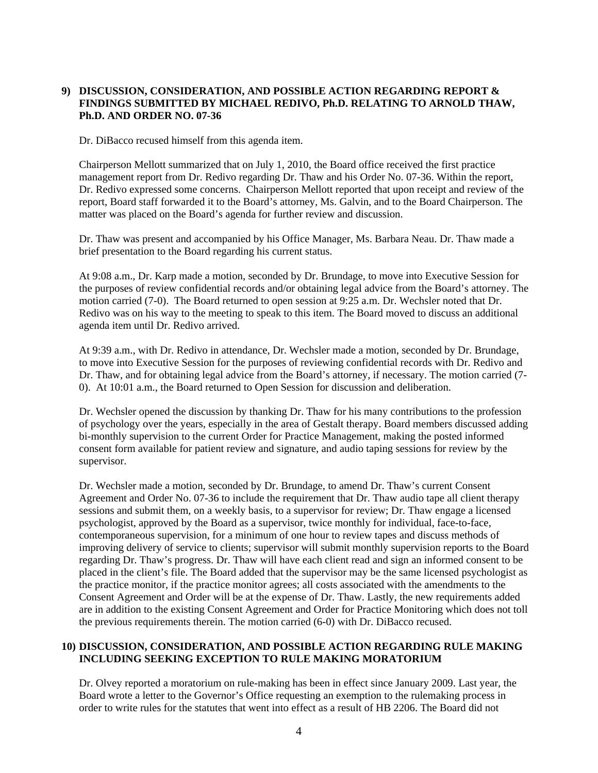## **9) DISCUSSION, CONSIDERATION, AND POSSIBLE ACTION REGARDING REPORT & FINDINGS SUBMITTED BY MICHAEL REDIVO, Ph.D. RELATING TO ARNOLD THAW, Ph.D. AND ORDER NO. 07-36**

Dr. DiBacco recused himself from this agenda item.

Chairperson Mellott summarized that on July 1, 2010, the Board office received the first practice management report from Dr. Redivo regarding Dr. Thaw and his Order No. 07-36. Within the report, Dr. Redivo expressed some concerns. Chairperson Mellott reported that upon receipt and review of the report, Board staff forwarded it to the Board's attorney, Ms. Galvin, and to the Board Chairperson. The matter was placed on the Board's agenda for further review and discussion.

Dr. Thaw was present and accompanied by his Office Manager, Ms. Barbara Neau. Dr. Thaw made a brief presentation to the Board regarding his current status.

At 9:08 a.m., Dr. Karp made a motion, seconded by Dr. Brundage, to move into Executive Session for the purposes of review confidential records and/or obtaining legal advice from the Board's attorney. The motion carried (7-0). The Board returned to open session at 9:25 a.m. Dr. Wechsler noted that Dr. Redivo was on his way to the meeting to speak to this item. The Board moved to discuss an additional agenda item until Dr. Redivo arrived.

At 9:39 a.m., with Dr. Redivo in attendance, Dr. Wechsler made a motion, seconded by Dr. Brundage, to move into Executive Session for the purposes of reviewing confidential records with Dr. Redivo and Dr. Thaw, and for obtaining legal advice from the Board's attorney, if necessary. The motion carried (7- 0). At 10:01 a.m., the Board returned to Open Session for discussion and deliberation.

Dr. Wechsler opened the discussion by thanking Dr. Thaw for his many contributions to the profession of psychology over the years, especially in the area of Gestalt therapy. Board members discussed adding bi-monthly supervision to the current Order for Practice Management, making the posted informed consent form available for patient review and signature, and audio taping sessions for review by the supervisor.

Dr. Wechsler made a motion, seconded by Dr. Brundage, to amend Dr. Thaw's current Consent Agreement and Order No. 07-36 to include the requirement that Dr. Thaw audio tape all client therapy sessions and submit them, on a weekly basis, to a supervisor for review; Dr. Thaw engage a licensed psychologist, approved by the Board as a supervisor, twice monthly for individual, face-to-face, contemporaneous supervision, for a minimum of one hour to review tapes and discuss methods of improving delivery of service to clients; supervisor will submit monthly supervision reports to the Board regarding Dr. Thaw's progress. Dr. Thaw will have each client read and sign an informed consent to be placed in the client's file. The Board added that the supervisor may be the same licensed psychologist as the practice monitor, if the practice monitor agrees; all costs associated with the amendments to the Consent Agreement and Order will be at the expense of Dr. Thaw. Lastly, the new requirements added are in addition to the existing Consent Agreement and Order for Practice Monitoring which does not toll the previous requirements therein. The motion carried (6-0) with Dr. DiBacco recused.

## **10) DISCUSSION, CONSIDERATION, AND POSSIBLE ACTION REGARDING RULE MAKING INCLUDING SEEKING EXCEPTION TO RULE MAKING MORATORIUM**

Dr. Olvey reported a moratorium on rule-making has been in effect since January 2009. Last year, the Board wrote a letter to the Governor's Office requesting an exemption to the rulemaking process in order to write rules for the statutes that went into effect as a result of HB 2206. The Board did not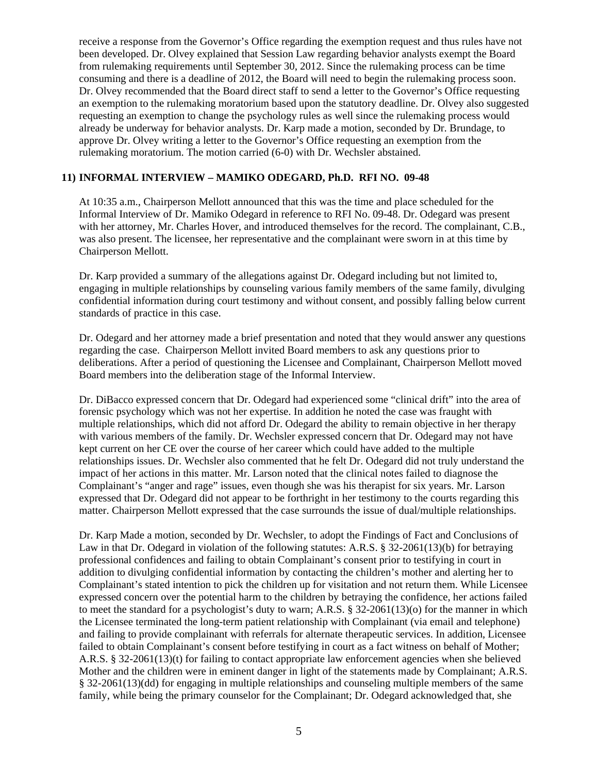receive a response from the Governor's Office regarding the exemption request and thus rules have not been developed. Dr. Olvey explained that Session Law regarding behavior analysts exempt the Board from rulemaking requirements until September 30, 2012. Since the rulemaking process can be time consuming and there is a deadline of 2012, the Board will need to begin the rulemaking process soon. Dr. Olvey recommended that the Board direct staff to send a letter to the Governor's Office requesting an exemption to the rulemaking moratorium based upon the statutory deadline. Dr. Olvey also suggested requesting an exemption to change the psychology rules as well since the rulemaking process would already be underway for behavior analysts. Dr. Karp made a motion, seconded by Dr. Brundage, to approve Dr. Olvey writing a letter to the Governor's Office requesting an exemption from the rulemaking moratorium. The motion carried (6-0) with Dr. Wechsler abstained.

## **11) INFORMAL INTERVIEW – MAMIKO ODEGARD, Ph.D. RFI NO. 09-48**

At 10:35 a.m., Chairperson Mellott announced that this was the time and place scheduled for the Informal Interview of Dr. Mamiko Odegard in reference to RFI No. 09-48. Dr. Odegard was present with her attorney, Mr. Charles Hover, and introduced themselves for the record. The complainant, C.B., was also present. The licensee, her representative and the complainant were sworn in at this time by Chairperson Mellott.

Dr. Karp provided a summary of the allegations against Dr. Odegard including but not limited to, engaging in multiple relationships by counseling various family members of the same family, divulging confidential information during court testimony and without consent, and possibly falling below current standards of practice in this case.

Dr. Odegard and her attorney made a brief presentation and noted that they would answer any questions regarding the case. Chairperson Mellott invited Board members to ask any questions prior to deliberations. After a period of questioning the Licensee and Complainant, Chairperson Mellott moved Board members into the deliberation stage of the Informal Interview.

Dr. DiBacco expressed concern that Dr. Odegard had experienced some "clinical drift" into the area of forensic psychology which was not her expertise. In addition he noted the case was fraught with multiple relationships, which did not afford Dr. Odegard the ability to remain objective in her therapy with various members of the family. Dr. Wechsler expressed concern that Dr. Odegard may not have kept current on her CE over the course of her career which could have added to the multiple relationships issues. Dr. Wechsler also commented that he felt Dr. Odegard did not truly understand the impact of her actions in this matter. Mr. Larson noted that the clinical notes failed to diagnose the Complainant's "anger and rage" issues, even though she was his therapist for six years. Mr. Larson expressed that Dr. Odegard did not appear to be forthright in her testimony to the courts regarding this matter. Chairperson Mellott expressed that the case surrounds the issue of dual/multiple relationships.

Dr. Karp Made a motion, seconded by Dr. Wechsler, to adopt the Findings of Fact and Conclusions of Law in that Dr. Odegard in violation of the following statutes: A.R.S. § 32-2061(13)(b) for betraying professional confidences and failing to obtain Complainant's consent prior to testifying in court in addition to divulging confidential information by contacting the children's mother and alerting her to Complainant's stated intention to pick the children up for visitation and not return them. While Licensee expressed concern over the potential harm to the children by betraying the confidence, her actions failed to meet the standard for a psychologist's duty to warn; A.R.S.  $\S$  32-2061(13)(o) for the manner in which the Licensee terminated the long-term patient relationship with Complainant (via email and telephone) and failing to provide complainant with referrals for alternate therapeutic services. In addition, Licensee failed to obtain Complainant's consent before testifying in court as a fact witness on behalf of Mother; A.R.S. § 32-2061(13)(t) for failing to contact appropriate law enforcement agencies when she believed Mother and the children were in eminent danger in light of the statements made by Complainant; A.R.S. § 32-2061(13)(dd) for engaging in multiple relationships and counseling multiple members of the same family, while being the primary counselor for the Complainant; Dr. Odegard acknowledged that, she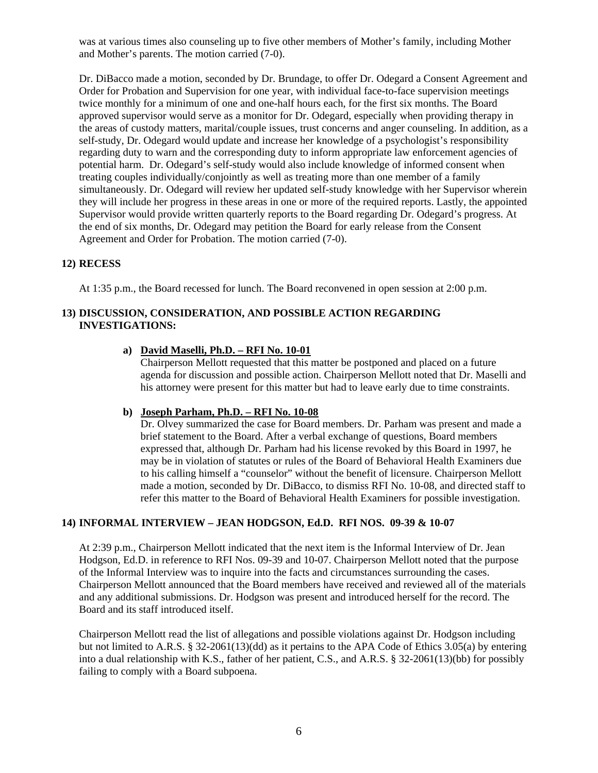was at various times also counseling up to five other members of Mother's family, including Mother and Mother's parents. The motion carried (7-0).

Dr. DiBacco made a motion, seconded by Dr. Brundage, to offer Dr. Odegard a Consent Agreement and Order for Probation and Supervision for one year, with individual face-to-face supervision meetings twice monthly for a minimum of one and one-half hours each, for the first six months. The Board approved supervisor would serve as a monitor for Dr. Odegard, especially when providing therapy in the areas of custody matters, marital/couple issues, trust concerns and anger counseling. In addition, as a self-study, Dr. Odegard would update and increase her knowledge of a psychologist's responsibility regarding duty to warn and the corresponding duty to inform appropriate law enforcement agencies of potential harm. Dr. Odegard's self-study would also include knowledge of informed consent when treating couples individually/conjointly as well as treating more than one member of a family simultaneously. Dr. Odegard will review her updated self-study knowledge with her Supervisor wherein they will include her progress in these areas in one or more of the required reports. Lastly, the appointed Supervisor would provide written quarterly reports to the Board regarding Dr. Odegard's progress. At the end of six months, Dr. Odegard may petition the Board for early release from the Consent Agreement and Order for Probation. The motion carried (7-0).

#### **12) RECESS**

At 1:35 p.m., the Board recessed for lunch. The Board reconvened in open session at 2:00 p.m.

#### **13) DISCUSSION, CONSIDERATION, AND POSSIBLE ACTION REGARDING INVESTIGATIONS:**

#### **a) David Maselli, Ph.D. – RFI No. 10-01**

Chairperson Mellott requested that this matter be postponed and placed on a future agenda for discussion and possible action. Chairperson Mellott noted that Dr. Maselli and his attorney were present for this matter but had to leave early due to time constraints.

#### **b) Joseph Parham, Ph.D. – RFI No. 10-08**

Dr. Olvey summarized the case for Board members. Dr. Parham was present and made a brief statement to the Board. After a verbal exchange of questions, Board members expressed that, although Dr. Parham had his license revoked by this Board in 1997, he may be in violation of statutes or rules of the Board of Behavioral Health Examiners due to his calling himself a "counselor" without the benefit of licensure. Chairperson Mellott made a motion, seconded by Dr. DiBacco, to dismiss RFI No. 10-08, and directed staff to refer this matter to the Board of Behavioral Health Examiners for possible investigation.

#### **14) INFORMAL INTERVIEW – JEAN HODGSON, Ed.D. RFI NOS. 09-39 & 10-07**

At 2:39 p.m., Chairperson Mellott indicated that the next item is the Informal Interview of Dr. Jean Hodgson, Ed.D. in reference to RFI Nos. 09-39 and 10-07. Chairperson Mellott noted that the purpose of the Informal Interview was to inquire into the facts and circumstances surrounding the cases. Chairperson Mellott announced that the Board members have received and reviewed all of the materials and any additional submissions. Dr. Hodgson was present and introduced herself for the record. The Board and its staff introduced itself.

Chairperson Mellott read the list of allegations and possible violations against Dr. Hodgson including but not limited to A.R.S. § 32-2061(13)(dd) as it pertains to the APA Code of Ethics 3.05(a) by entering into a dual relationship with K.S., father of her patient, C.S., and A.R.S. § 32-2061(13)(bb) for possibly failing to comply with a Board subpoena.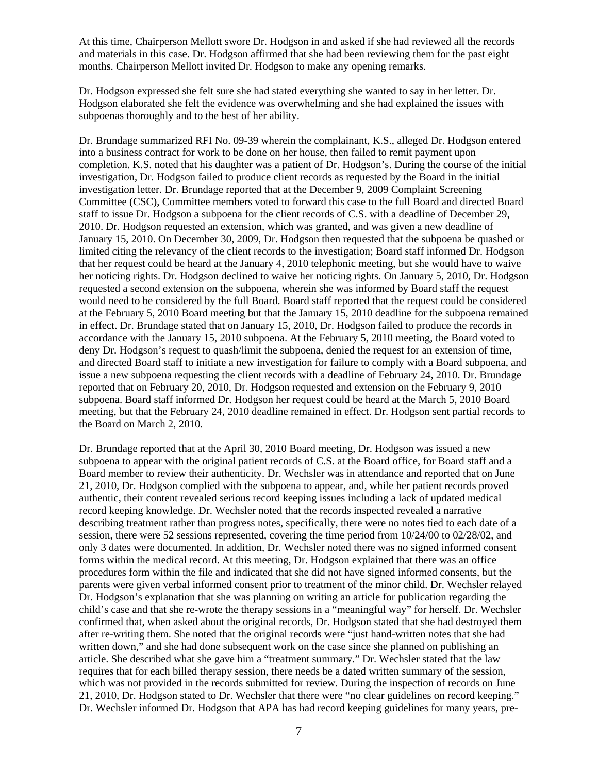At this time, Chairperson Mellott swore Dr. Hodgson in and asked if she had reviewed all the records and materials in this case. Dr. Hodgson affirmed that she had been reviewing them for the past eight months. Chairperson Mellott invited Dr. Hodgson to make any opening remarks.

Dr. Hodgson expressed she felt sure she had stated everything she wanted to say in her letter. Dr. Hodgson elaborated she felt the evidence was overwhelming and she had explained the issues with subpoenas thoroughly and to the best of her ability.

Dr. Brundage summarized RFI No. 09-39 wherein the complainant, K.S., alleged Dr. Hodgson entered into a business contract for work to be done on her house, then failed to remit payment upon completion. K.S. noted that his daughter was a patient of Dr. Hodgson's. During the course of the initial investigation, Dr. Hodgson failed to produce client records as requested by the Board in the initial investigation letter. Dr. Brundage reported that at the December 9, 2009 Complaint Screening Committee (CSC), Committee members voted to forward this case to the full Board and directed Board staff to issue Dr. Hodgson a subpoena for the client records of C.S. with a deadline of December 29, 2010. Dr. Hodgson requested an extension, which was granted, and was given a new deadline of January 15, 2010. On December 30, 2009, Dr. Hodgson then requested that the subpoena be quashed or limited citing the relevancy of the client records to the investigation; Board staff informed Dr. Hodgson that her request could be heard at the January 4, 2010 telephonic meeting, but she would have to waive her noticing rights. Dr. Hodgson declined to waive her noticing rights. On January 5, 2010, Dr. Hodgson requested a second extension on the subpoena, wherein she was informed by Board staff the request would need to be considered by the full Board. Board staff reported that the request could be considered at the February 5, 2010 Board meeting but that the January 15, 2010 deadline for the subpoena remained in effect. Dr. Brundage stated that on January 15, 2010, Dr. Hodgson failed to produce the records in accordance with the January 15, 2010 subpoena. At the February 5, 2010 meeting, the Board voted to deny Dr. Hodgson's request to quash/limit the subpoena, denied the request for an extension of time, and directed Board staff to initiate a new investigation for failure to comply with a Board subpoena, and issue a new subpoena requesting the client records with a deadline of February 24, 2010. Dr. Brundage reported that on February 20, 2010, Dr. Hodgson requested and extension on the February 9, 2010 subpoena. Board staff informed Dr. Hodgson her request could be heard at the March 5, 2010 Board meeting, but that the February 24, 2010 deadline remained in effect. Dr. Hodgson sent partial records to the Board on March 2, 2010.

Dr. Brundage reported that at the April 30, 2010 Board meeting, Dr. Hodgson was issued a new subpoena to appear with the original patient records of C.S. at the Board office, for Board staff and a Board member to review their authenticity. Dr. Wechsler was in attendance and reported that on June 21, 2010, Dr. Hodgson complied with the subpoena to appear, and, while her patient records proved authentic, their content revealed serious record keeping issues including a lack of updated medical record keeping knowledge. Dr. Wechsler noted that the records inspected revealed a narrative describing treatment rather than progress notes, specifically, there were no notes tied to each date of a session, there were 52 sessions represented, covering the time period from 10/24/00 to 02/28/02, and only 3 dates were documented. In addition, Dr. Wechsler noted there was no signed informed consent forms within the medical record. At this meeting, Dr. Hodgson explained that there was an office procedures form within the file and indicated that she did not have signed informed consents, but the parents were given verbal informed consent prior to treatment of the minor child. Dr. Wechsler relayed Dr. Hodgson's explanation that she was planning on writing an article for publication regarding the child's case and that she re-wrote the therapy sessions in a "meaningful way" for herself. Dr. Wechsler confirmed that, when asked about the original records, Dr. Hodgson stated that she had destroyed them after re-writing them. She noted that the original records were "just hand-written notes that she had written down," and she had done subsequent work on the case since she planned on publishing an article. She described what she gave him a "treatment summary." Dr. Wechsler stated that the law requires that for each billed therapy session, there needs be a dated written summary of the session, which was not provided in the records submitted for review. During the inspection of records on June 21, 2010, Dr. Hodgson stated to Dr. Wechsler that there were "no clear guidelines on record keeping." Dr. Wechsler informed Dr. Hodgson that APA has had record keeping guidelines for many years, pre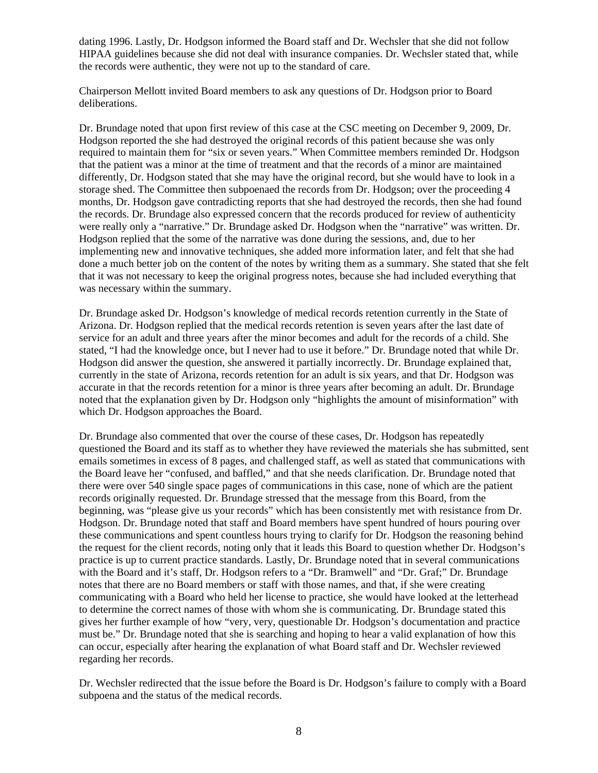dating 1996. Lastly, Dr. Hodgson informed the Board staff and Dr. Wechsler that she did not follow HIPAA guidelines because she did not deal with insurance companies. Dr. Wechsler stated that, while the records were authentic, they were not up to the standard of care.

Chairperson Mellott invited Board members to ask any questions of Dr. Hodgson prior to Board deliberations.

Dr. Brundage noted that upon first review of this case at the CSC meeting on December 9, 2009, Dr. Hodgson reported the she had destroyed the original records of this patient because she was only required to maintain them for "six or seven years." When Committee members reminded Dr. Hodgson that the patient was a minor at the time of treatment and that the records of a minor are maintained differently, Dr. Hodgson stated that she may have the original record, but she would have to look in a storage shed. The Committee then subpoenaed the records from Dr. Hodgson; over the proceeding 4 months, Dr. Hodgson gave contradicting reports that she had destroyed the records, then she had found the records. Dr. Brundage also expressed concern that the records produced for review of authenticity were really only a "narrative." Dr. Brundage asked Dr. Hodgson when the "narrative" was written. Dr. Hodgson replied that the some of the narrative was done during the sessions, and, due to her implementing new and innovative techniques, she added more information later, and felt that she had done a much better job on the content of the notes by writing them as a summary. She stated that she felt that it was not necessary to keep the original progress notes, because she had included everything that was necessary within the summary.

Dr. Brundage asked Dr. Hodgson's knowledge of medical records retention currently in the State of Arizona. Dr. Hodgson replied that the medical records retention is seven years after the last date of service for an adult and three years after the minor becomes and adult for the records of a child. She stated, "I had the knowledge once, but I never had to use it before." Dr. Brundage noted that while Dr. Hodgson did answer the question, she answered it partially incorrectly. Dr. Brundage explained that, currently in the state of Arizona, records retention for an adult is six years, and that Dr. Hodgson was accurate in that the records retention for a minor is three years after becoming an adult. Dr. Brundage noted that the explanation given by Dr. Hodgson only "highlights the amount of misinformation" with which Dr. Hodgson approaches the Board.

Dr. Brundage also commented that over the course of these cases, Dr. Hodgson has repeatedly questioned the Board and its staff as to whether they have reviewed the materials she has submitted, sent emails sometimes in excess of 8 pages, and challenged staff, as well as stated that communications with the Board leave her "confused, and baffled," and that she needs clarification. Dr. Brundage noted that there were over 540 single space pages of communications in this case, none of which are the patient records originally requested. Dr. Brundage stressed that the message from this Board, from the beginning, was "please give us your records" which has been consistently met with resistance from Dr. Hodgson. Dr. Brundage noted that staff and Board members have spent hundred of hours pouring over these communications and spent countless hours trying to clarify for Dr. Hodgson the reasoning behind the request for the client records, noting only that it leads this Board to question whether Dr. Hodgson's practice is up to current practice standards. Lastly, Dr. Brundage noted that in several communications with the Board and it's staff, Dr. Hodgson refers to a "Dr. Bramwell" and "Dr. Graf;" Dr. Brundage notes that there are no Board members or staff with those names, and that, if she were creating communicating with a Board who held her license to practice, she would have looked at the letterhead to determine the correct names of those with whom she is communicating. Dr. Brundage stated this gives her further example of how "very, very, questionable Dr. Hodgson's documentation and practice must be." Dr. Brundage noted that she is searching and hoping to hear a valid explanation of how this can occur, especially after hearing the explanation of what Board staff and Dr. Wechsler reviewed regarding her records.

Dr. Wechsler redirected that the issue before the Board is Dr. Hodgson's failure to comply with a Board subpoena and the status of the medical records.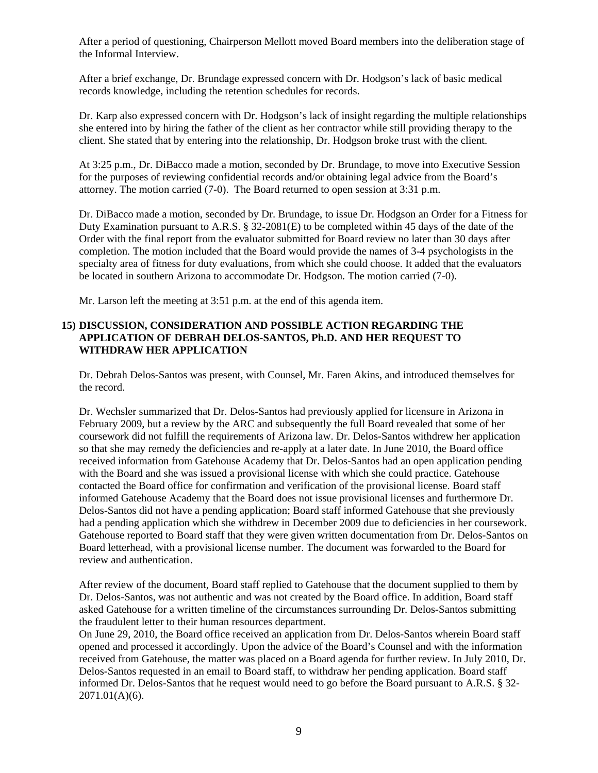After a period of questioning, Chairperson Mellott moved Board members into the deliberation stage of the Informal Interview.

After a brief exchange, Dr. Brundage expressed concern with Dr. Hodgson's lack of basic medical records knowledge, including the retention schedules for records.

Dr. Karp also expressed concern with Dr. Hodgson's lack of insight regarding the multiple relationships she entered into by hiring the father of the client as her contractor while still providing therapy to the client. She stated that by entering into the relationship, Dr. Hodgson broke trust with the client.

At 3:25 p.m., Dr. DiBacco made a motion, seconded by Dr. Brundage, to move into Executive Session for the purposes of reviewing confidential records and/or obtaining legal advice from the Board's attorney. The motion carried (7-0). The Board returned to open session at 3:31 p.m.

Dr. DiBacco made a motion, seconded by Dr. Brundage, to issue Dr. Hodgson an Order for a Fitness for Duty Examination pursuant to A.R.S. § 32-2081(E) to be completed within 45 days of the date of the Order with the final report from the evaluator submitted for Board review no later than 30 days after completion. The motion included that the Board would provide the names of 3-4 psychologists in the specialty area of fitness for duty evaluations, from which she could choose. It added that the evaluators be located in southern Arizona to accommodate Dr. Hodgson. The motion carried (7-0).

Mr. Larson left the meeting at 3:51 p.m. at the end of this agenda item.

## **15) DISCUSSION, CONSIDERATION AND POSSIBLE ACTION REGARDING THE APPLICATION OF DEBRAH DELOS-SANTOS, Ph.D. AND HER REQUEST TO WITHDRAW HER APPLICATION**

Dr. Debrah Delos-Santos was present, with Counsel, Mr. Faren Akins, and introduced themselves for the record.

Dr. Wechsler summarized that Dr. Delos-Santos had previously applied for licensure in Arizona in February 2009, but a review by the ARC and subsequently the full Board revealed that some of her coursework did not fulfill the requirements of Arizona law. Dr. Delos-Santos withdrew her application so that she may remedy the deficiencies and re-apply at a later date. In June 2010, the Board office received information from Gatehouse Academy that Dr. Delos-Santos had an open application pending with the Board and she was issued a provisional license with which she could practice. Gatehouse contacted the Board office for confirmation and verification of the provisional license. Board staff informed Gatehouse Academy that the Board does not issue provisional licenses and furthermore Dr. Delos-Santos did not have a pending application; Board staff informed Gatehouse that she previously had a pending application which she withdrew in December 2009 due to deficiencies in her coursework. Gatehouse reported to Board staff that they were given written documentation from Dr. Delos-Santos on Board letterhead, with a provisional license number. The document was forwarded to the Board for review and authentication.

After review of the document, Board staff replied to Gatehouse that the document supplied to them by Dr. Delos-Santos, was not authentic and was not created by the Board office. In addition, Board staff asked Gatehouse for a written timeline of the circumstances surrounding Dr. Delos-Santos submitting the fraudulent letter to their human resources department.

On June 29, 2010, the Board office received an application from Dr. Delos-Santos wherein Board staff opened and processed it accordingly. Upon the advice of the Board's Counsel and with the information received from Gatehouse, the matter was placed on a Board agenda for further review. In July 2010, Dr. Delos-Santos requested in an email to Board staff, to withdraw her pending application. Board staff informed Dr. Delos-Santos that he request would need to go before the Board pursuant to A.R.S. § 32- 2071.01(A)(6).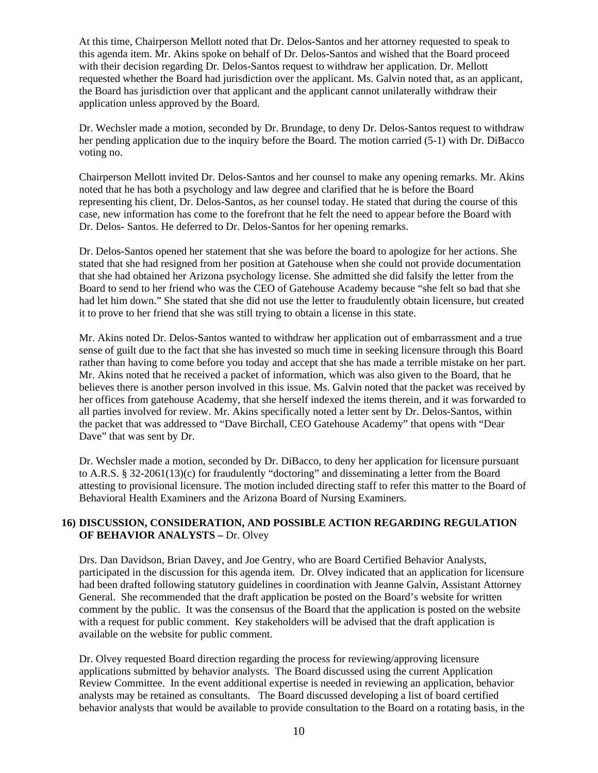At this time, Chairperson Mellott noted that Dr. Delos-Santos and her attorney requested to speak to this agenda item. Mr. Akins spoke on behalf of Dr. Delos-Santos and wished that the Board proceed with their decision regarding Dr. Delos-Santos request to withdraw her application. Dr. Mellott requested whether the Board had jurisdiction over the applicant. Ms. Galvin noted that, as an applicant, the Board has jurisdiction over that applicant and the applicant cannot unilaterally withdraw their application unless approved by the Board.

Dr. Wechsler made a motion, seconded by Dr. Brundage, to deny Dr. Delos-Santos request to withdraw her pending application due to the inquiry before the Board. The motion carried (5-1) with Dr. DiBacco voting no.

Chairperson Mellott invited Dr. Delos-Santos and her counsel to make any opening remarks. Mr. Akins noted that he has both a psychology and law degree and clarified that he is before the Board representing his client, Dr. Delos-Santos, as her counsel today. He stated that during the course of this case, new information has come to the forefront that he felt the need to appear before the Board with Dr. Delos- Santos. He deferred to Dr. Delos-Santos for her opening remarks.

Dr. Delos-Santos opened her statement that she was before the board to apologize for her actions. She stated that she had resigned from her position at Gatehouse when she could not provide documentation that she had obtained her Arizona psychology license. She admitted she did falsify the letter from the Board to send to her friend who was the CEO of Gatehouse Academy because "she felt so bad that she had let him down." She stated that she did not use the letter to fraudulently obtain licensure, but created it to prove to her friend that she was still trying to obtain a license in this state.

Mr. Akins noted Dr. Delos-Santos wanted to withdraw her application out of embarrassment and a true sense of guilt due to the fact that she has invested so much time in seeking licensure through this Board rather than having to come before you today and accept that she has made a terrible mistake on her part. Mr. Akins noted that he received a packet of information, which was also given to the Board, that he believes there is another person involved in this issue. Ms. Galvin noted that the packet was received by her offices from gatehouse Academy, that she herself indexed the items therein, and it was forwarded to all parties involved for review. Mr. Akins specifically noted a letter sent by Dr. Delos-Santos, within the packet that was addressed to "Dave Birchall, CEO Gatehouse Academy" that opens with "Dear Dave" that was sent by Dr.

Dr. Wechsler made a motion, seconded by Dr. DiBacco, to deny her application for licensure pursuant to A.R.S. § 32-2061(13)(c) for fraudulently "doctoring" and disseminating a letter from the Board attesting to provisional licensure. The motion included directing staff to refer this matter to the Board of Behavioral Health Examiners and the Arizona Board of Nursing Examiners.

## **16) DISCUSSION, CONSIDERATION, AND POSSIBLE ACTION REGARDING REGULATION OF BEHAVIOR ANALYSTS –** Dr. Olvey

Drs. Dan Davidson, Brian Davey, and Joe Gentry, who are Board Certified Behavior Analysts, participated in the discussion for this agenda item. Dr. Olvey indicated that an application for licensure had been drafted following statutory guidelines in coordination with Jeanne Galvin, Assistant Attorney General. She recommended that the draft application be posted on the Board's website for written comment by the public. It was the consensus of the Board that the application is posted on the website with a request for public comment. Key stakeholders will be advised that the draft application is available on the website for public comment.

Dr. Olvey requested Board direction regarding the process for reviewing/approving licensure applications submitted by behavior analysts. The Board discussed using the current Application Review Committee. In the event additional expertise is needed in reviewing an application, behavior analysts may be retained as consultants. The Board discussed developing a list of board certified behavior analysts that would be available to provide consultation to the Board on a rotating basis, in the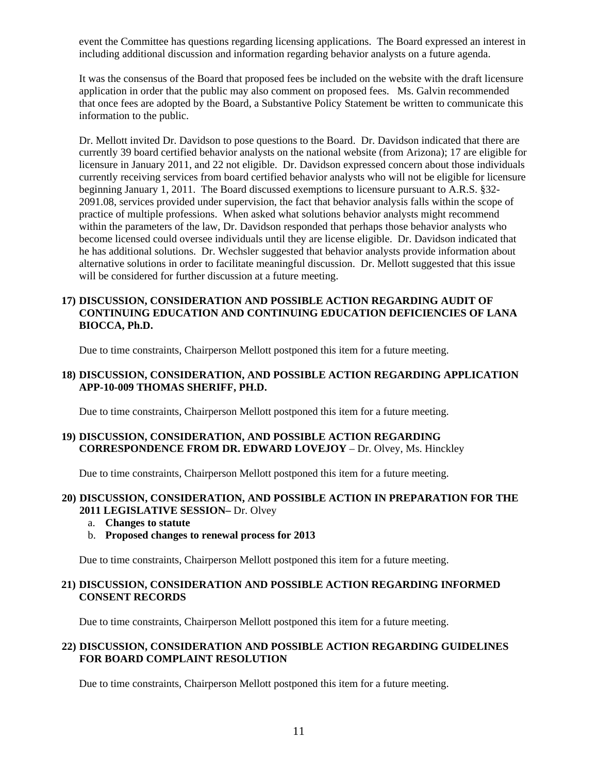event the Committee has questions regarding licensing applications. The Board expressed an interest in including additional discussion and information regarding behavior analysts on a future agenda.

It was the consensus of the Board that proposed fees be included on the website with the draft licensure application in order that the public may also comment on proposed fees. Ms. Galvin recommended that once fees are adopted by the Board, a Substantive Policy Statement be written to communicate this information to the public.

Dr. Mellott invited Dr. Davidson to pose questions to the Board. Dr. Davidson indicated that there are currently 39 board certified behavior analysts on the national website (from Arizona); 17 are eligible for licensure in January 2011, and 22 not eligible. Dr. Davidson expressed concern about those individuals currently receiving services from board certified behavior analysts who will not be eligible for licensure beginning January 1, 2011. The Board discussed exemptions to licensure pursuant to A.R.S. §32- 2091.08, services provided under supervision, the fact that behavior analysis falls within the scope of practice of multiple professions. When asked what solutions behavior analysts might recommend within the parameters of the law, Dr. Davidson responded that perhaps those behavior analysts who become licensed could oversee individuals until they are license eligible. Dr. Davidson indicated that he has additional solutions. Dr. Wechsler suggested that behavior analysts provide information about alternative solutions in order to facilitate meaningful discussion. Dr. Mellott suggested that this issue will be considered for further discussion at a future meeting.

## **17) DISCUSSION, CONSIDERATION AND POSSIBLE ACTION REGARDING AUDIT OF CONTINUING EDUCATION AND CONTINUING EDUCATION DEFICIENCIES OF LANA BIOCCA, Ph.D.**

Due to time constraints, Chairperson Mellott postponed this item for a future meeting.

#### **18) DISCUSSION, CONSIDERATION, AND POSSIBLE ACTION REGARDING APPLICATION APP-10-009 THOMAS SHERIFF, PH.D.**

Due to time constraints, Chairperson Mellott postponed this item for a future meeting.

#### **19) DISCUSSION, CONSIDERATION, AND POSSIBLE ACTION REGARDING CORRESPONDENCE FROM DR. EDWARD LOVEJOY** – Dr. Olvey, Ms. Hinckley

Due to time constraints, Chairperson Mellott postponed this item for a future meeting.

#### **20) DISCUSSION, CONSIDERATION, AND POSSIBLE ACTION IN PREPARATION FOR THE 2011 LEGISLATIVE SESSION–** Dr. Olvey

- a. **Changes to statute**
- b. **Proposed changes to renewal process for 2013**

Due to time constraints, Chairperson Mellott postponed this item for a future meeting.

#### **21) DISCUSSION, CONSIDERATION AND POSSIBLE ACTION REGARDING INFORMED CONSENT RECORDS**

Due to time constraints, Chairperson Mellott postponed this item for a future meeting.

#### **22) DISCUSSION, CONSIDERATION AND POSSIBLE ACTION REGARDING GUIDELINES FOR BOARD COMPLAINT RESOLUTION**

Due to time constraints, Chairperson Mellott postponed this item for a future meeting.